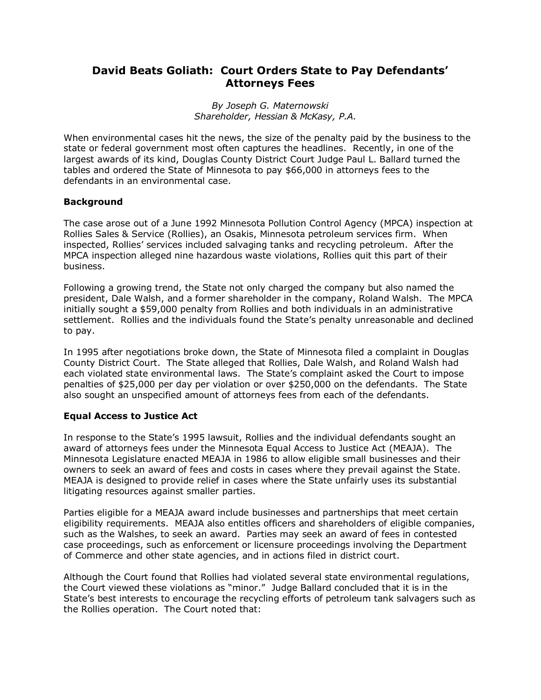## **David Beats Goliath: Court Orders State to Pay Defendantsí Attorneys Fees**

*By Joseph G. Maternowski Shareholder, Hessian & McKasy, P.A.* 

When environmental cases hit the news, the size of the penalty paid by the business to the state or federal government most often captures the headlines. Recently, in one of the largest awards of its kind, Douglas County District Court Judge Paul L. Ballard turned the tables and ordered the State of Minnesota to pay \$66,000 in attorneys fees to the defendants in an environmental case.

## **Background**

The case arose out of a June 1992 Minnesota Pollution Control Agency (MPCA) inspection at Rollies Sales & Service (Rollies), an Osakis, Minnesota petroleum services firm. When inspected, Rolliesí services included salvaging tanks and recycling petroleum. After the MPCA inspection alleged nine hazardous waste violations, Rollies quit this part of their business.

Following a growing trend, the State not only charged the company but also named the president, Dale Walsh, and a former shareholder in the company, Roland Walsh. The MPCA initially sought a \$59,000 penalty from Rollies and both individuals in an administrative settlement. Rollies and the individuals found the State's penalty unreasonable and declined to pay.

In 1995 after negotiations broke down, the State of Minnesota filed a complaint in Douglas County District Court. The State alleged that Rollies, Dale Walsh, and Roland Walsh had each violated state environmental laws. The State's complaint asked the Court to impose penalties of \$25,000 per day per violation or over \$250,000 on the defendants. The State also sought an unspecified amount of attorneys fees from each of the defendants.

## **Equal Access to Justice Act**

In response to the State's 1995 lawsuit, Rollies and the individual defendants sought an award of attorneys fees under the Minnesota Equal Access to Justice Act (MEAJA). The Minnesota Legislature enacted MEAJA in 1986 to allow eligible small businesses and their owners to seek an award of fees and costs in cases where they prevail against the State. MEAJA is designed to provide relief in cases where the State unfairly uses its substantial litigating resources against smaller parties.

Parties eligible for a MEAJA award include businesses and partnerships that meet certain eligibility requirements. MEAJA also entitles officers and shareholders of eligible companies, such as the Walshes, to seek an award. Parties may seek an award of fees in contested case proceedings, such as enforcement or licensure proceedings involving the Department of Commerce and other state agencies, and in actions filed in district court.

Although the Court found that Rollies had violated several state environmental regulations, the Court viewed these violations as "minor." Judge Ballard concluded that it is in the Stateís best interests to encourage the recycling efforts of petroleum tank salvagers such as the Rollies operation. The Court noted that: